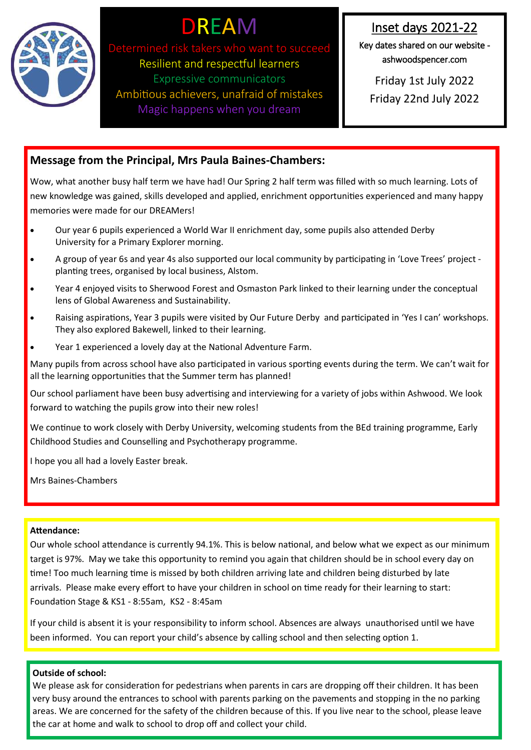

# DREAM

Determined risk takers who want to suc Resilient and respectful learners Expressive communicators Ambitious achievers, unafraid of mistakes Magic happens when you dream

Inset days 2021-22

Key dates shared on our website ashwoodspencer.com

Friday 1st July 2022 Friday 22nd July 2022

# **Message from the Principal, Mrs Paula Baines-Chambers:**

Wow, what another busy half term we have had! Our Spring 2 half term was filled with so much learning. Lots of new knowledge was gained, skills developed and applied, enrichment opportunities experienced and many happy memories were made for our DREAMers!

- Our year 6 pupils experienced a World War II enrichment day, some pupils also attended Derby University for a Primary Explorer morning.
- A group of year 6s and year 4s also supported our local community by participating in 'Love Trees' project planting trees, organised by local business, Alstom.
- Year 4 enjoyed visits to Sherwood Forest and Osmaston Park linked to their learning under the conceptual lens of Global Awareness and Sustainability.
- Raising aspirations, Year 3 pupils were visited by Our Future Derby and participated in 'Yes I can' workshops. They also explored Bakewell, linked to their learning.
- Year 1 experienced a lovely day at the National Adventure Farm.

Many pupils from across school have also participated in various sporting events during the term. We can't wait for all the learning opportunities that the Summer term has planned!

Our school parliament have been busy advertising and interviewing for a variety of jobs within Ashwood. We look forward to watching the pupils grow into their new roles!

We continue to work closely with Derby University, welcoming students from the BEd training programme, Early Childhood Studies and Counselling and Psychotherapy programme.

I hope you all had a lovely Easter break.

Mrs Baines-Chambers

# **Attendance:**

Our whole school attendance is currently 94.1%. This is below national, and below what we expect as our minimum target is 97%. May we take this opportunity to remind you again that children should be in school every day on time! Too much learning time is missed by both children arriving late and children being disturbed by late arrivals. Please make every effort to have your children in school on time ready for their learning to start: Foundation Stage & KS1 - 8:55am, KS2 - 8:45am

If your child is absent it is your responsibility to inform school. Absences are always unauthorised until we have been informed. You can report your child's absence by calling school and then selecting option 1.

## **Outside of school:**

We please ask for consideration for pedestrians when parents in cars are dropping off their children. It has been very busy around the entrances to school with parents parking on the pavements and stopping in the no parking areas. We are concerned for the safety of the children because of this. If you live near to the school, please leave the car at home and walk to school to drop off and collect your child.